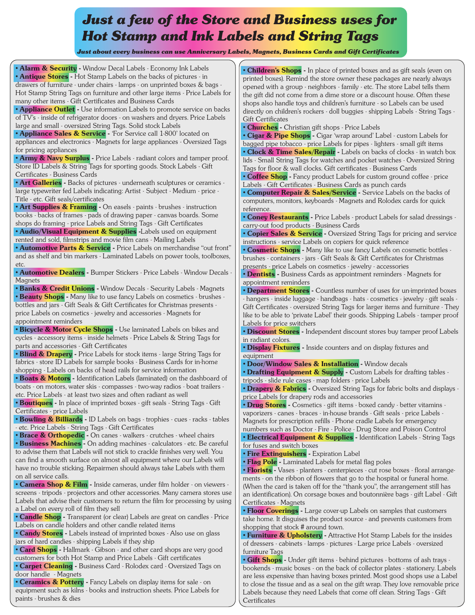## *Just a few of the Store and Business uses for Hot Stamp and Ink Labels and String Tags*

 *Just about every business can use Anniversary Labels, Magnets, Business Cards and Gift Certificates*

**• Alarm & Security -** Window Decal Labels - Economy Ink Labels **• Antique Stores -** Hot Stamp Labels on the backs of pictures - in drawers of furniture - under chairs - lamps - on unprinted boxes & bags - Hot Stamp String Tags on furniture and other large items - Price Labels for many other items - Gift Certificates and Business Cards

**• Appliance Outlet -** Use information Labels to promote service on backs of TV's - inside of refrigerator doors - on washers and dryers. Price Labels large and small - oversized String Tags. Solid stock Labels

**• Appliance Sales & Service -** 'For Service call 1-800' located on appliances and electronics - Magnets for large appliances - Oversized Tags for pricing appliances

**• Army & Navy Surplus -** Price Labels - radiant colors and tamper proof. Store ID Labels & String Tags for sporting goods. Stock Labels - Gift Certificates - Business Cards

**• Art Galleries -** Backs of pictures - underneath sculptures or ceramics large typewriter fed Labels indicating: Artist - Subject - Medium - price - Title - etc. Gift seals/certificates

**• Art Supplies & Framing -** On easels - paints - brushes - instruction books - backs of frames - pads of drawing paper - canvas boards. Some shops do framing - price Labels and String Tags - Gift Certificates

**• Audio/Visual Equipment & Supplies -Labels used on equipment** rented and sold, filmstrips and movie film cans - Mailing Labels

**• Automotive Parts & Service** - Price Labels on merchandise "out front" and as shelf and bin markers - Laminated Labels on power tools, toolboxes, etc.

**• Automotive Dealers -** Bumper Stickers - Price Labels - Window Decals - **Magnets** 

**• Banks & Credit Unions -** Window Decals - Security Labels - Magnets **• Beauty Shops -** Many like to use fancy Labels on cosmetics - brushes bottles and jars - Gift Seals & Gift Certificates for Christmas presents price Labels on cosmetics - jewelry and accessories - Magnets for appointment reminders

**• Bicycle & Motor Cycle Shops -** Use laminated Labels on bikes and cycles - accessory items - inside helmets - Price Labels & String Tags for parts and accessories - Gift Certificates

**• Blind & Drapery -** Price Labels for stock items - large String Tags for fabrics - store ID Labels for sample books - Business Cards for in-home shopping - Labels on backs of head rails for service information

**• Boats & Motors -** Identification Labels (laminated) on the dashboard of boats - on motors, water skis - compasses - two-way radios - boat trailers etc. Price Labels - at least two sizes and often radiant as well

**• Boutiques -** In place of imprinted boxes - gift seals - String Tags - Gift Certificates - price Labels

**• Bowling & Billiards -** ID Labels on bags - trophies - cues - racks - tables - etc. Price Labels - String Tags - Gift Certificates

**• Brace & Orthopedic -** On canes - walkers - crutches - wheel chairs **• Business Machines -** On adding machines - calculators - etc. Be careful to advise them that Labels will not stick to crackle finishes very well. You can find a smooth surface on almost all equipment where our Labels will have no trouble sticking. Repairmen should always take Labels with them on all service calls.

**• Camera Shop & Film -** Inside cameras, under film holder - on viewers screens - tripods - projectors and other accessories. Many camera stores use Labels that advise their customers to return the film for processing by using a Label on every roll of film they sell

**• Candle Shop -** Transparent (or clear) Labels are great on candles - Price Labels on candle holders and other candle related items

**• Candy Stores -** Labels instead of imprinted boxes - Also use on glass jars of hard candies - shipping Labels if they ship

**• Card Shops -** Hallmark - Gibson - and other card shops are very good customers for both Hot Stamp and Price Labels - Gift certificates

**• Carpet Cleaning -** Business Card - Rolodex card - Oversized Tags on door handle - Magnets

**• Ceramics & Pottery -** Fancy Labels on display items for sale - on equipment such as kilns - books and instruction sheets. Price Labels for paints - brushes & dies

**• Children's Shops -** In place of printed boxes and as gift seals (even on printed boxes). Remind the store owner these packages are nearly always opened with a group - neighbors - family - etc. The store Label tells them the gift did not come from a dime store or a discount house. Often these shops also handle toys and children's furniture - so Labels can be used directly on children's rockers - doll buggies - shipping Labels - String Tags - Gift Certificates

**• Churches -** Christian gift shops - Price Labels

**• Cigar & Pipe Shops -** Cigar 'wrap around' Label - custom Labels for bagged pipe tobacco - price Labels for pipes - lighters - small gift items **• Clock & Time Sales/Repair -** Labels on backs of clocks - in watch box lids - Small String Tags for watches and pocket watches - Oversized String Tags for floor & wall clocks. Gift certificates - Business Cards

**• Coffee Shop -** Fancy product Labels for custom ground coffee - price Labels - Gift Certificates - Business Cards as punch cards

**• Computer Repair & Sales/Service -** Service Labels on the backs of computers, monitors, keyboards - Magnets and Rolodex cards for quick reference.

**• Coney Restaurants -** Price Labels - product Labels for salad dressings carry-out food products - Business Cards

**• Copier Sales & Service -** Oversized String Tags for pricing and service instructions - service Labels on copiers for quick reference

**• Cosmetic Shops -** Many like to use fancy Labels on cosmetic bottles brushes - containers - jars - Gift Seals & Gift Certificates for Christmas presents - price Labels on cosmetics - jewelry - accessories

**• Dentists -** Business Cards as appointment reminders - Magnets for appointment reminders

**• Department Stores -** Countless number of uses for un-imprinted boxes - hangers - inside luggage - handbags - hats - cosmetics - jewelry - gift seals - Gift Certificates - oversized String Tags for larger items and furniture - They like to be able to 'private Label' their goods. Shipping Labels - tamper proof Labels for price switchers

**• Discount Stores -** Independent discount stores buy tamper proof Labels in radiant colors.

**• Display Fixtures -** Inside counters and on display fixtures and equipment

**• Door/Window Sales & Installation -** Window decals

**• Drafting Equipment & Supply - Custom Labels for drafting tables** tripods - slide rule cases - map folders - price Labels

**• Drapery & Fabrics -** Oversized String Tags for fabric bolts and displays price Labels for drapery rods and accessories

**• Drug Stores -** Cosmetics - gift items - boxed candy - better vitamins vaporizers - canes - braces - in-house brands - Gift seals - price Labels - Magnets for prescription refills - Phone cradle Labels for emergency

numbers such as Doctor - Fire - Police - Drug Store and Poison Control **• Electrical Equipment & Supplies -** Identification Labels - String Tags

for fuses and switch boxes

**• Fire Extinguishers -** Expiration Label

**• Flag Pole -** Laminated Labels for metal flag poles

**• Florists -** Vases - planters - centerpieces - cut rose boxes - floral arrangements - on the ribbon of flowers that go to the hospital or funeral home. (When the card is taken off for the "thank you", the arrangement still has an identification). On corsage boxes and boutonnière bags - gift Label - Gift Certificates - Magnets

**• Floor Coverings -** Large cover-up Labels on samples that customers take home. It disguises the product source - and prevents customers from shopping that stock # around town.

**• Furniture & Upholstery -** Attractive Hot Stamp Labels for the insides of dressers - cabinets - lamps - pictures - Large price Labels - oversized furniture Tags

**• Gift Shops -** Under gift items - behind pictures - bottoms of ash trays bookends - music boxes - on the back of collector plates - stationery. Labels are less expensive than having boxes printed. Most good shops use a Label to close the tissue and as a seal on the gift wrap. They love removable price Labels because they need Labels that come off clean. String Tags - Gift **Certificates**